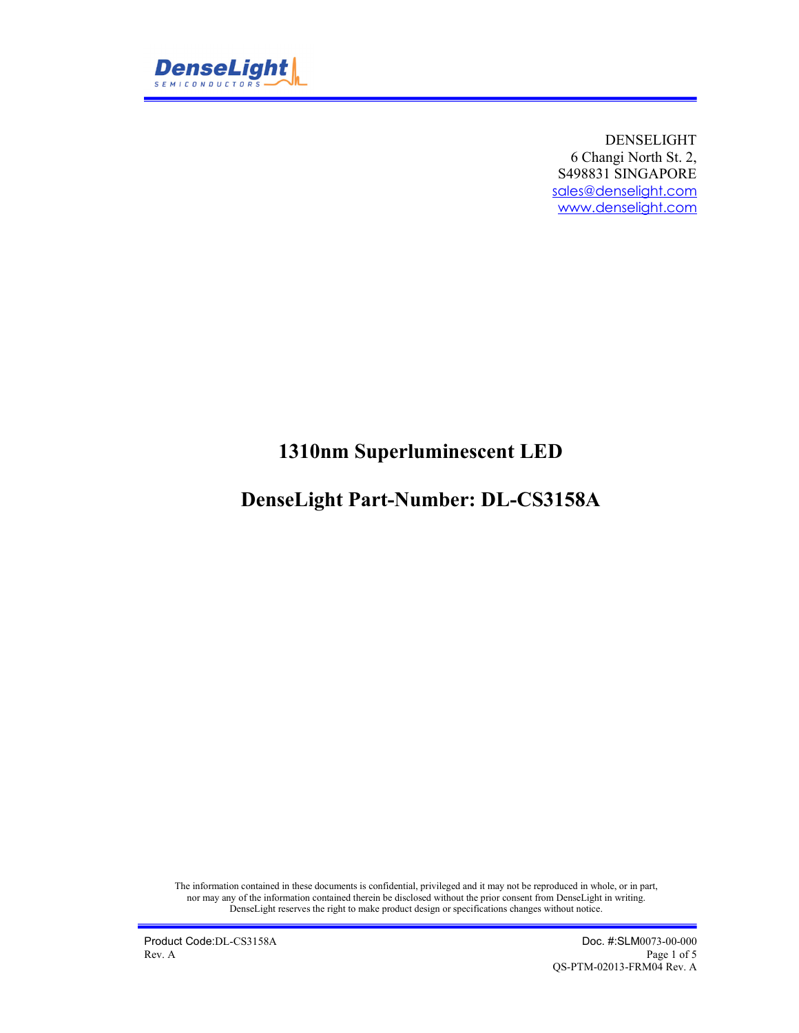

DENSELIGHT 6 Changi North St. 2, S498831 SINGAPORE sales@denselight.com www.denselight.com

# **1310nm Superluminescent LED**

## **DenseLight Part-Number: DL-CS3158A**

The information contained in these documents is confidential, privileged and it may not be reproduced in whole, or in part, nor may any of the information contained therein be disclosed without the prior consent from DenseLight in writing. DenseLight reserves the right to make product design or specifications changes without notice.

Product Code:DL-CS3158A Doc. #:SLM0073-00-000<br>Rev. A Page 1 of 5 Rev. A Page 1 of 5 QS-PTM-02013-FRM04 Rev. A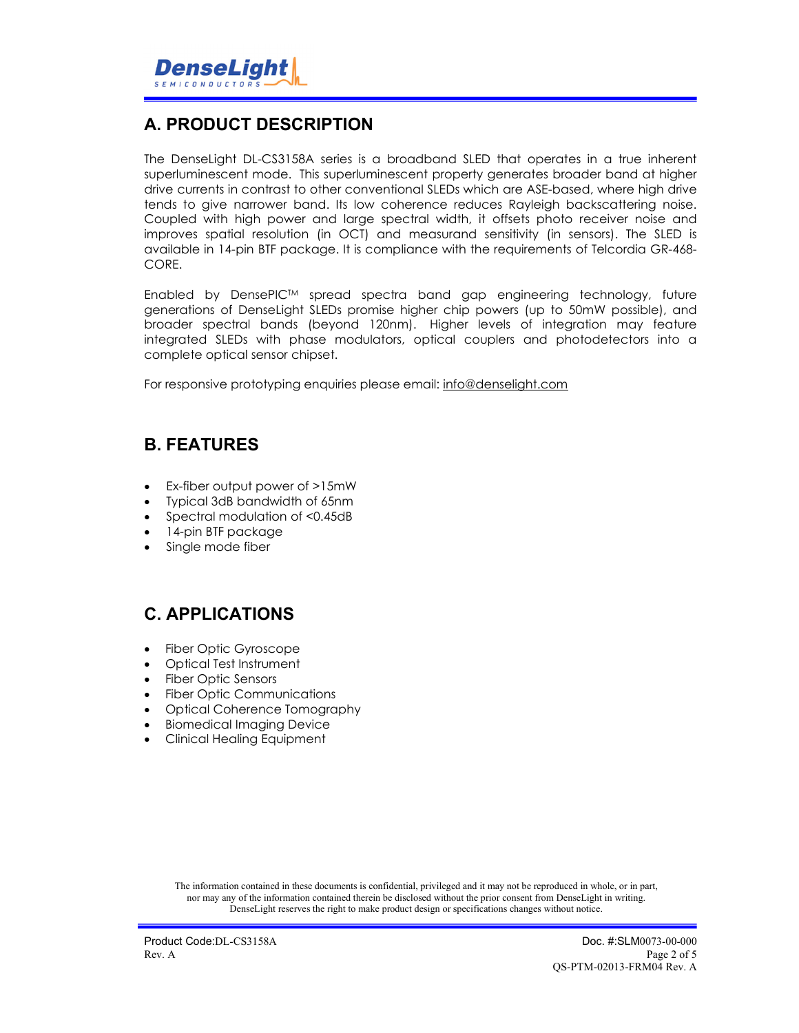

## **A. PRODUCT DESCRIPTION**

The DenseLight DL-CS3158A series is a broadband SLED that operates in a true inherent superluminescent mode. This superluminescent property generates broader band at higher drive currents in contrast to other conventional SLEDs which are ASE-based, where high drive tends to give narrower band. Its low coherence reduces Rayleigh backscattering noise. Coupled with high power and large spectral width, it offsets photo receiver noise and improves spatial resolution (in OCT) and measurand sensitivity (in sensors). The SLED is available in 14-pin BTF package. It is compliance with the requirements of Telcordia GR-468- CORE.

Enabled by DensePICTM spread spectra band gap engineering technology, future generations of DenseLight SLEDs promise higher chip powers (up to 50mW possible), and broader spectral bands (beyond 120nm). Higher levels of integration may feature integrated SLEDs with phase modulators, optical couplers and photodetectors into a complete optical sensor chipset.

For responsive prototyping enquiries please email: info@denselight.com

#### **B. FEATURES**

- Ex-fiber output power of >15mW
- Typical 3dB bandwidth of 65nm
- Spectral modulation of <0.45dB
- 14-pin BTF package
- Single mode fiber

#### **C. APPLICATIONS**

- Fiber Optic Gyroscope
- Optical Test Instrument
- Fiber Optic Sensors
- Fiber Optic Communications
- Optical Coherence Tomography
- **•** Biomedical Imaging Device
- Clinical Healing Equipment

The information contained in these documents is confidential, privileged and it may not be reproduced in whole, or in part, nor may any of the information contained therein be disclosed without the prior consent from DenseLight in writing. DenseLight reserves the right to make product design or specifications changes without notice.

Product Code:DL-CS3158A Doc. #:SLM0073-00-000<br>Rev. A Page 2 of 5 Rev. A Page 2 of 5 QS-PTM-02013-FRM04 Rev. A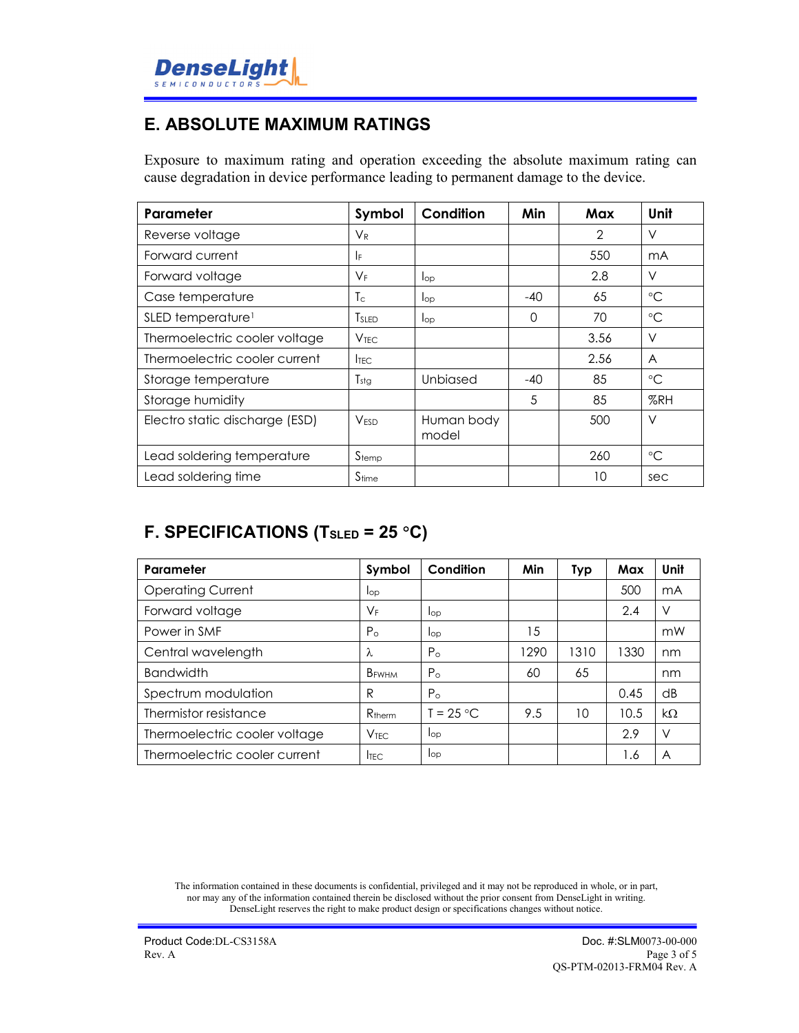

#### **E. ABSOLUTE MAXIMUM RATINGS**

Exposure to maximum rating and operation exceeding the absolute maximum rating can cause degradation in device performance leading to permanent damage to the device.

| Parameter                      | Symbol            | Condition           | Min   | Max           | Unit            |
|--------------------------------|-------------------|---------------------|-------|---------------|-----------------|
| Reverse voltage                | $V_{R}$           |                     |       | $\mathcal{P}$ | V               |
| Forward current                | IF.               |                     |       | 550           | mA              |
| Forward voltage                | $V_{F}$           | $\log$              |       | 2.8           | V               |
| Case temperature               | Tс                | $\log$              | $-40$ | 65            | $\rm ^{\circ}C$ |
| SLED temperature <sup>1</sup>  | T <sub>SLED</sub> | $I_{op}$            | 0     | 70            | $\rm ^{\circ}C$ |
| Thermoelectric cooler voltage  | V <sub>TFC</sub>  |                     |       | 3.56          | V               |
| Thermoelectric cooler current  | <b>ITEC</b>       |                     |       | 2.56          | A               |
| Storage temperature            | $T_{\text{stg}}$  | Unbiased            | $-40$ | 85            | $^{\circ}C$     |
| Storage humidity               |                   |                     | 5     | 85            | %RH             |
| Electro static discharge (ESD) | V <sub>ESD</sub>  | Human body<br>model |       | 500           | V               |
| Lead soldering temperature     | $S_{temp}$        |                     |       | 260           | $^{\circ}C$     |
| Lead soldering time            | S <sub>time</sub> |                     |       | 10            | sec             |

## **F. SPECIFICATIONS (TSLED = 25 C)**

| Parameter                     | Symbol             | Condition    | Min  | Typ  | Max  | Unit      |
|-------------------------------|--------------------|--------------|------|------|------|-----------|
| <b>Operating Current</b>      | lop                |              |      |      | 500  | mA        |
| Forward voltage               | $V_{\mathsf{F}}$   | lop          |      |      | 2.4  | V         |
| Power in SMF                  | $P_{\Omega}$       | lop          | 15   |      |      | mW        |
| Central wavelength            | λ                  | $P_{\Omega}$ | 1290 | 1310 | 1330 | nm        |
| <b>Bandwidth</b>              | B <sub>FWHM</sub>  | $P_{\Omega}$ | 60   | 65   |      | nm        |
| Spectrum modulation           | R                  | $P_{\Omega}$ |      |      | 0.45 | dB        |
| Thermistor resistance         | R <sub>therm</sub> | $T = 25 °C$  | 9.5  | 10   | 10.5 | $k\Omega$ |
| Thermoelectric cooler voltage | <b>VTFC</b>        | lop          |      |      | 2.9  | V         |
| Thermoelectric cooler current | <b>ITEC</b>        | lop          |      |      | 1.6  | A         |

The information contained in these documents is confidential, privileged and it may not be reproduced in whole, or in part, nor may any of the information contained therein be disclosed without the prior consent from DenseLight in writing. DenseLight reserves the right to make product design or specifications changes without notice.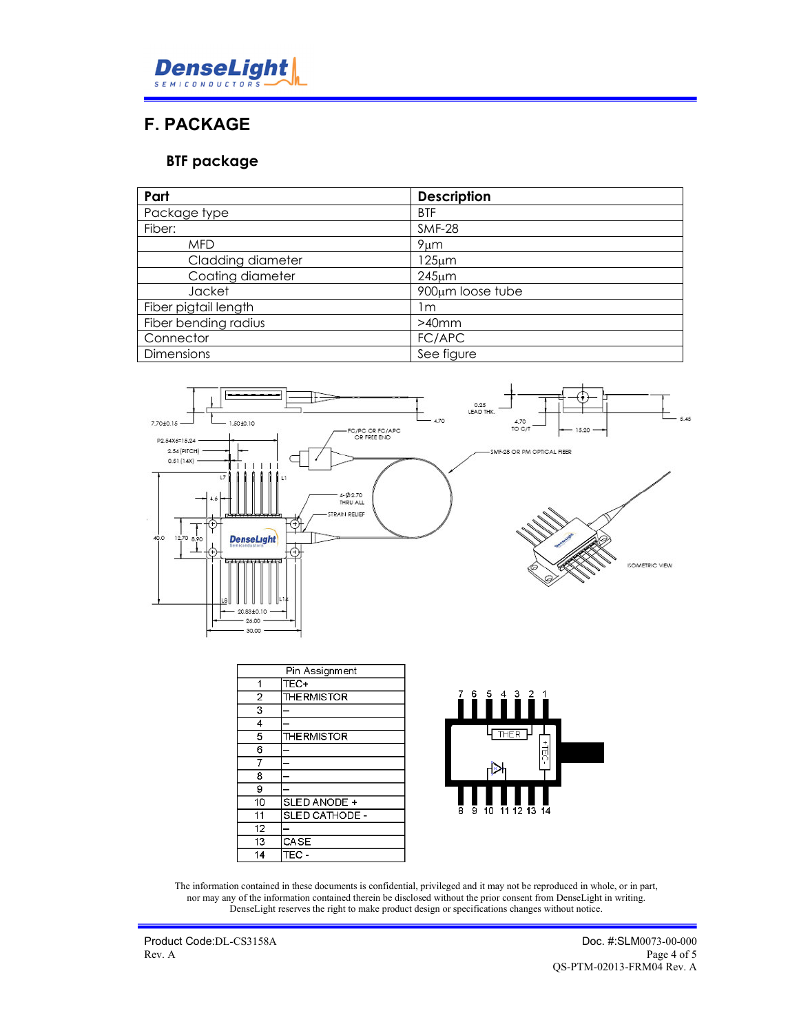

#### **F. PACKAGE**

#### **BTF package**

| Part                 | <b>Description</b> |
|----------------------|--------------------|
| Package type         | <b>BTF</b>         |
| Fiber:               | <b>SMF-28</b>      |
| <b>MFD</b>           | $9 \mu m$          |
| Cladding diameter    | 125µm              |
| Coating diameter     | $245 \mu m$        |
| Jacket               | 900µm loose tube   |
| Fiber pigtail length | l m                |
| Fiber bending radius | $>40$ mm           |
| Connector            | FC/APC             |
| <b>Dimensions</b>    | See figure         |



| Pin Assignment |                    |
|----------------|--------------------|
| 1              | TEC+               |
| 2              | <b>THE RMISTOR</b> |
| 3              |                    |
| 4              |                    |
| 5              | <b>THE RMISTOR</b> |
| 6              |                    |
| 7              |                    |
| 8              |                    |
| 9              |                    |
| 10             | SLED ANODE +       |
| 11             | SLED CATHODE -     |
| 12             |                    |
| 13             | CASE               |
| 14             | TEC -              |



The information contained in these documents is confidential, privileged and it may not be reproduced in whole, or in part, nor may any of the information contained therein be disclosed without the prior consent from DenseLight in writing. DenseLight reserves the right to make product design or specifications changes without notice.